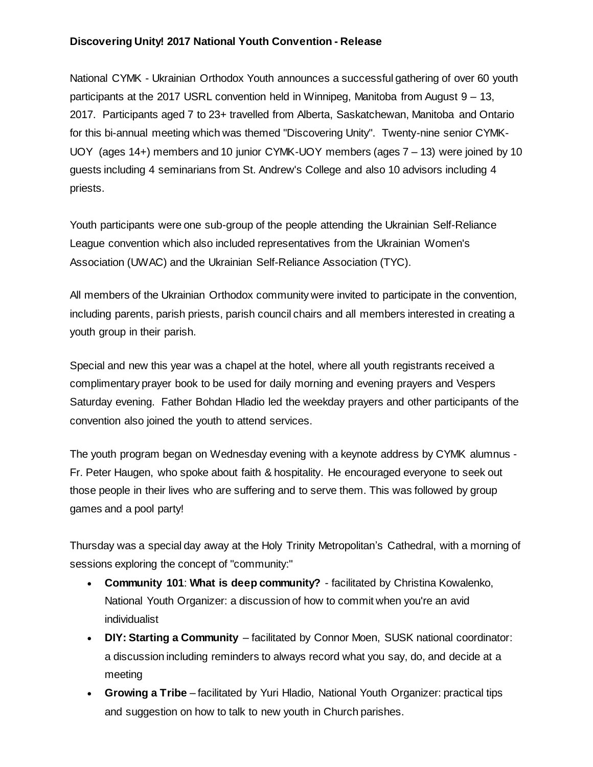## **Discovering Unity! 2017 National Youth Convention - Release**

National CYMK - Ukrainian Orthodox Youth announces a successful gathering of over 60 youth participants at the 2017 USRL convention held in Winnipeg, Manitoba from August 9 – 13, 2017. Participants aged 7 to 23+ travelled from Alberta, Saskatchewan, Manitoba and Ontario for this bi-annual meeting which was themed "Discovering Unity". Twenty-nine senior CYMK-UOY (ages 14+) members and 10 junior CYMK-UOY members (ages 7 – 13) were joined by 10 guests including 4 seminarians from St. Andrew's College and also 10 advisors including 4 priests.

Youth participants were one sub-group of the people attending the Ukrainian Self-Reliance League convention which also included representatives from the Ukrainian Women's Association (UWAC) and the Ukrainian Self-Reliance Association (TYC).

All members of the Ukrainian Orthodox community were invited to participate in the convention, including parents, parish priests, parish council chairs and all members interested in creating a youth group in their parish.

Special and new this year was a chapel at the hotel, where all youth registrants received a complimentary prayer book to be used for daily morning and evening prayers and Vespers Saturday evening. Father Bohdan Hladio led the weekday prayers and other participants of the convention also joined the youth to attend services.

The youth program began on Wednesday evening with a keynote address by CYMK alumnus - Fr. Peter Haugen, who spoke about faith & hospitality. He encouraged everyone to seek out those people in their lives who are suffering and to serve them. This was followed by group games and a pool party!

Thursday was a special day away at the Holy Trinity Metropolitan's Cathedral, with a morning of sessions exploring the concept of "community:"

- **Community 101**: **What is deep community?** facilitated by Christina Kowalenko, National Youth Organizer: a discussion of how to commit when you're an avid individualist
- **DIY: Starting a Community** facilitated by Connor Moen, SUSK national coordinator: a discussion including reminders to always record what you say, do, and decide at a meeting
- **Growing a Tribe** facilitated by Yuri Hladio, National Youth Organizer: practical tips and suggestion on how to talk to new youth in Church parishes.